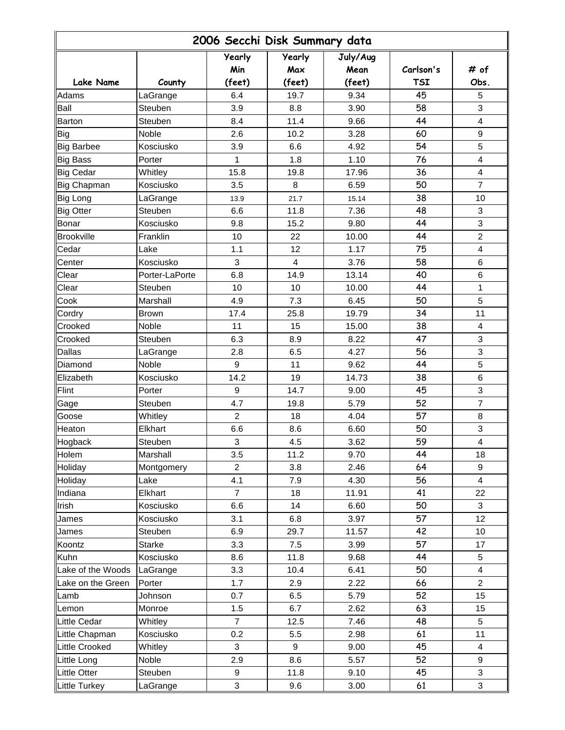| 2006 Secchi Disk Summary data |                |                |                |                  |            |                |  |  |  |
|-------------------------------|----------------|----------------|----------------|------------------|------------|----------------|--|--|--|
|                               |                | Yearly<br>Min  | Yearly<br>Max  | July/Aug<br>Mean | Carlson's  | # of           |  |  |  |
| <b>Lake Name</b>              | County         | (feet)         | (feet)         | (feet)           | <b>TSI</b> | Obs.           |  |  |  |
| Adams                         | LaGrange       | 6.4            | 19.7           | 9.34             | 45         | 5              |  |  |  |
| Ball                          | Steuben        | 3.9            | 8.8            | 3.90             | 58         | 3              |  |  |  |
| Barton                        | Steuben        | 8.4            | 11.4           | 9.66             | 44         | 4              |  |  |  |
| Big                           | Noble          | 2.6            | 10.2           | 3.28             | 60         | 9              |  |  |  |
| <b>Big Barbee</b>             | Kosciusko      | 3.9            | 6.6            | 4.92             | 54         | 5              |  |  |  |
| <b>Big Bass</b>               | Porter         | 1              | 1.8            | 1.10             | 76         | 4              |  |  |  |
| <b>Big Cedar</b>              | Whitley        | 15.8           | 19.8           | 17.96            | 36         | 4              |  |  |  |
| Big Chapman                   | Kosciusko      | 3.5            | 8              | 6.59             | 50         | $\overline{7}$ |  |  |  |
| <b>Big Long</b>               | LaGrange       | 13.9           | 21.7           | 15.14            | 38         | 10             |  |  |  |
| <b>Big Otter</b>              | Steuben        | 6.6            | 11.8           | 7.36             | 48         | 3              |  |  |  |
| Bonar                         | Kosciusko      | 9.8            | 15.2           | 9.80             | 44         | 3              |  |  |  |
| <b>Brookville</b>             | Franklin       | 10             | 22             | 10.00            | 44         | $\overline{2}$ |  |  |  |
| Cedar                         | Lake           | 1.1            | 12             | 1.17             | 75         | 4              |  |  |  |
| Center                        | Kosciusko      | 3              | $\overline{4}$ | 3.76             | 58         | $\,6\,$        |  |  |  |
| Clear                         | Porter-LaPorte | 6.8            | 14.9           | 13.14            | 40         | 6              |  |  |  |
| Clear                         | Steuben        | 10             | 10             | 10.00            | 44         | 1              |  |  |  |
| Cook                          | Marshall       | 4.9            | 7.3            | 6.45             | 50         | 5              |  |  |  |
| Cordry                        | <b>Brown</b>   | 17.4           | 25.8           | 19.79            | 34         | 11             |  |  |  |
| Crooked                       | Noble          | 11             | 15             | 15.00            | 38         | 4              |  |  |  |
| Crooked                       | Steuben        | 6.3            | 8.9            | 8.22             | 47         | 3              |  |  |  |
| Dallas                        | LaGrange       | 2.8            | 6.5            | 4.27             | 56         | 3              |  |  |  |
| Diamond                       | Noble          | 9              | 11             | 9.62             | 44         | 5              |  |  |  |
| Elizabeth                     | Kosciusko      | 14.2           | 19             | 14.73            | 38         | 6              |  |  |  |
| Flint                         | Porter         | 9              | 14.7           | 9.00             | 45         | 3              |  |  |  |
| Gage                          | Steuben        | 4.7            | 19.8           | 5.79             | 52         | $\overline{7}$ |  |  |  |
| Goose                         | Whitley        | $\overline{2}$ | 18             | 4.04             | 57         | 8              |  |  |  |
| Heaton                        | Elkhart        | 6.6            | 8.6            | 6.60             | 50         | 3              |  |  |  |
| Hogback                       | Steuben        | 3              | $4.5\,$        | 3.62             | 59         | $\overline{4}$ |  |  |  |
| Holem                         | Marshall       | 3.5            | 11.2           | 9.70             | 44         | 18             |  |  |  |
| Holiday                       | Montgomery     | $\overline{2}$ | 3.8            | 2.46             | 64         | 9              |  |  |  |
| Holiday                       | Lake           | 4.1            | 7.9            | 4.30             | 56         | 4              |  |  |  |
| Indiana                       | Elkhart        | $\overline{7}$ | 18             | 11.91            | 41         | 22             |  |  |  |
| Irish                         | Kosciusko      | 6.6            | 14             | 6.60             | 50         | 3              |  |  |  |
| James                         | Kosciusko      | 3.1            | 6.8            | 3.97             | 57         | 12             |  |  |  |
| James                         | Steuben        | 6.9            | 29.7           | 11.57            | 42         | 10             |  |  |  |
| Koontz                        | <b>Starke</b>  | 3.3            | 7.5            | 3.99             | 57         | 17             |  |  |  |
| Kuhn                          | Kosciusko      | 8.6            | 11.8           | 9.68             | 44         | 5              |  |  |  |
| Lake of the Woods             | LaGrange       | 3.3            | 10.4           | 6.41             | 50         | 4              |  |  |  |
| Lake on the Green             | Porter         | 1.7            | 2.9            | 2.22             | 66         | $\overline{2}$ |  |  |  |
| Lamb                          | Johnson        | 0.7            | 6.5            | 5.79             | 52         | 15             |  |  |  |
| Lemon                         | Monroe         | 1.5            | 6.7            | 2.62             | 63         | 15             |  |  |  |
| <b>Little Cedar</b>           | Whitley        | $\overline{7}$ | 12.5           | 7.46             | 48         | 5              |  |  |  |
| Little Chapman                | Kosciusko      | 0.2            | 5.5            | 2.98             | 61         | 11             |  |  |  |
| Little Crooked                | Whitley        | 3              | 9              | 9.00             | 45         | 4              |  |  |  |
| Little Long                   | Noble          | 2.9            | 8.6            | 5.57             | 52         | 9              |  |  |  |
| <b>Little Otter</b>           | Steuben        | 9              | 11.8           | 9.10             | 45         | 3              |  |  |  |
|                               | LaGrange       | 3              |                | 3.00             | 61         | 3              |  |  |  |
| Little Turkey                 |                |                | 9.6            |                  |            |                |  |  |  |